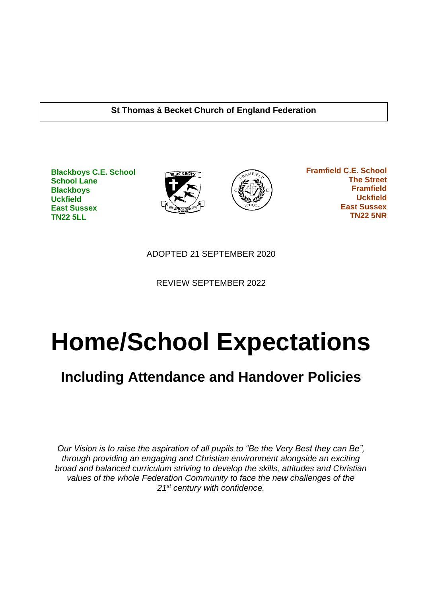#### **St Thomas à Becket Church of England Federation**

**Blackboys C.E. School School Lane Blackboys Uckfield East Sussex TN22 5LL**





 **Framfield C.E. School The Street Framfield Uckfield East Sussex TN22 5NR**

ADOPTED 21 SEPTEMBER 2020

REVIEW SEPTEMBER 2022

# **Home/School Expectations**

# **Including Attendance and Handover Policies**

*Our Vision is to raise the aspiration of all pupils to "Be the Very Best they can Be", through providing an engaging and Christian environment alongside an exciting broad and balanced curriculum striving to develop the skills, attitudes and Christian values of the whole Federation Community to face the new challenges of the 21st century with confidence.*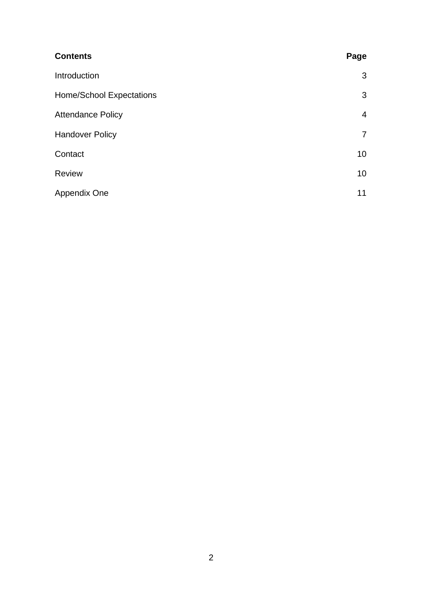| <b>Contents</b>          | Page            |
|--------------------------|-----------------|
| Introduction             | 3               |
| Home/School Expectations | 3               |
| <b>Attendance Policy</b> | $\overline{4}$  |
| <b>Handover Policy</b>   | $\overline{7}$  |
| Contact                  | 10 <sup>°</sup> |
| <b>Review</b>            | 10 <sup>°</sup> |
| Appendix One             | 11              |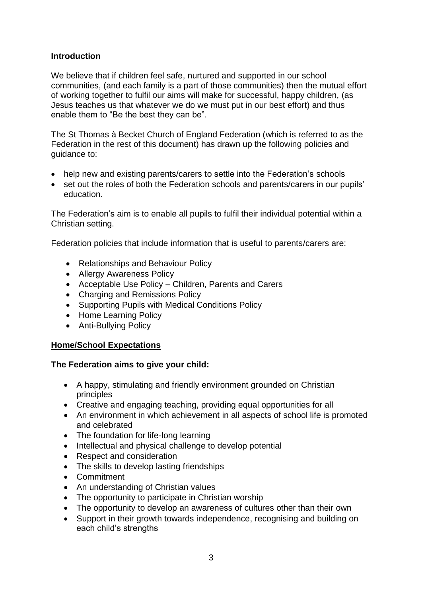#### **Introduction**

We believe that if children feel safe, nurtured and supported in our school communities, (and each family is a part of those communities) then the mutual effort of working together to fulfil our aims will make for successful, happy children, (as Jesus teaches us that whatever we do we must put in our best effort) and thus enable them to "Be the best they can be".

The St Thomas à Becket Church of England Federation (which is referred to as the Federation in the rest of this document) has drawn up the following policies and guidance to:

- help new and existing parents/carers to settle into the Federation's schools
- set out the roles of both the Federation schools and parents/carers in our pupils' education.

The Federation's aim is to enable all pupils to fulfil their individual potential within a Christian setting.

Federation policies that include information that is useful to parents/carers are:

- Relationships and Behaviour Policy
- Allergy Awareness Policy
- Acceptable Use Policy Children, Parents and Carers
- Charging and Remissions Policy
- Supporting Pupils with Medical Conditions Policy
- Home Learning Policy
- Anti-Bullying Policy

#### **Home/School Expectations**

#### **The Federation aims to give your child:**

- A happy, stimulating and friendly environment grounded on Christian principles
- Creative and engaging teaching, providing equal opportunities for all
- An environment in which achievement in all aspects of school life is promoted and celebrated
- The foundation for life-long learning
- Intellectual and physical challenge to develop potential
- Respect and consideration
- The skills to develop lasting friendships
- Commitment
- An understanding of Christian values
- The opportunity to participate in Christian worship
- The opportunity to develop an awareness of cultures other than their own
- Support in their growth towards independence, recognising and building on each child's strengths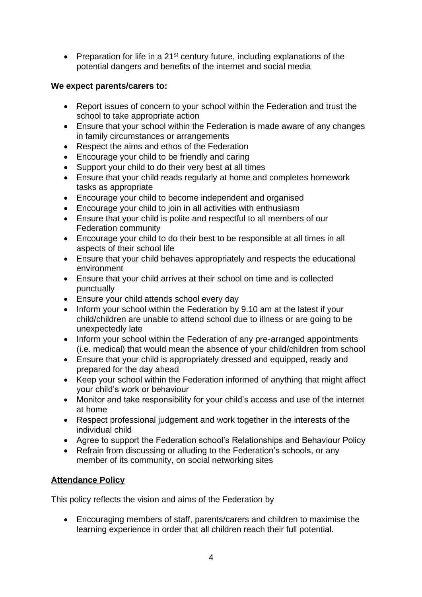• Preparation for life in a  $21<sup>st</sup>$  century future, including explanations of the potential dangers and benefits of the internet and social media

### **We expect parents/carers to:**

- Report issues of concern to your school within the Federation and trust the school to take appropriate action
- Ensure that your school within the Federation is made aware of any changes in family circumstances or arrangements
- Respect the aims and ethos of the Federation
- Encourage your child to be friendly and caring
- Support your child to do their very best at all times
- Ensure that your child reads regularly at home and completes homework tasks as appropriate
- Encourage your child to become independent and organised
- Encourage your child to join in all activities with enthusiasm
- Ensure that your child is polite and respectful to all members of our Federation community
- Encourage your child to do their best to be responsible at all times in all aspects of their school life
- Ensure that your child behaves appropriately and respects the educational environment
- Ensure that your child arrives at their school on time and is collected punctually
- Ensure your child attends school every day
- Inform your school within the Federation by 9.10 am at the latest if your child/children are unable to attend school due to illness or are going to be unexpectedly late
- Inform your school within the Federation of any pre-arranged appointments (i.e. medical) that would mean the absence of your child/children from school
- Ensure that your child is appropriately dressed and equipped, ready and prepared for the day ahead
- Keep your school within the Federation informed of anything that might affect your child's work or behaviour
- Monitor and take responsibility for your child's access and use of the internet at home
- Respect professional judgement and work together in the interests of the individual child
- Agree to support the Federation school's Relationships and Behaviour Policy
- Refrain from discussing or alluding to the Federation's schools, or any member of its community, on social networking sites

# **Attendance Policy**

This policy reflects the vision and aims of the Federation by

• Encouraging members of staff, parents/carers and children to maximise the learning experience in order that all children reach their full potential.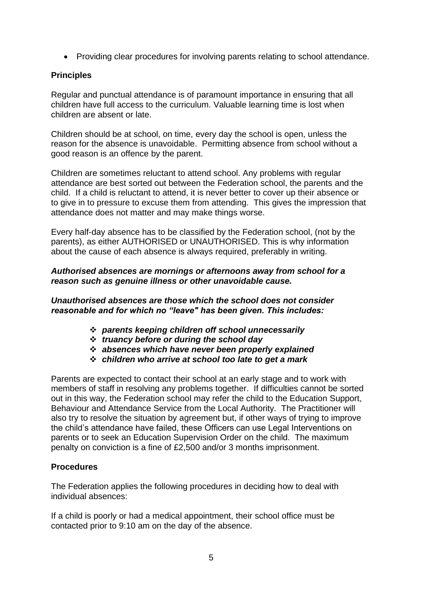• Providing clear procedures for involving parents relating to school attendance.

#### **Principles**

Regular and punctual attendance is of paramount importance in ensuring that all children have full access to the curriculum. Valuable learning time is lost when children are absent or late.

Children should be at school, on time, every day the school is open, unless the reason for the absence is unavoidable. Permitting absence from school without a good reason is an offence by the parent.

Children are sometimes reluctant to attend school. Any problems with regular attendance are best sorted out between the Federation school, the parents and the child. If a child is reluctant to attend, it is never better to cover up their absence or to give in to pressure to excuse them from attending. This gives the impression that attendance does not matter and may make things worse.

Every half-day absence has to be classified by the Federation school, (not by the parents), as either AUTHORISED or UNAUTHORISED. This is why information about the cause of each absence is always required, preferably in writing.

#### *Authorised absences are mornings or afternoons away from school for a reason such as genuine illness or other unavoidable cause.*

*Unauthorised absences are those which the school does not consider reasonable and for which no "leave" has been given. This includes:* 

- ❖ *parents keeping children off school unnecessarily*
- ❖ *truancy before or during the school day*
- ❖ *absences which have never been properly explained*
- ❖ *children who arrive at school too late to get a mark*

Parents are expected to contact their school at an early stage and to work with members of staff in resolving any problems together. If difficulties cannot be sorted out in this way, the Federation school may refer the child to the Education Support, Behaviour and Attendance Service from the Local Authority. The Practitioner will also try to resolve the situation by agreement but, if other ways of trying to improve the child's attendance have failed, these Officers can use Legal Interventions on parents or to seek an Education Supervision Order on the child. The maximum penalty on conviction is a fine of £2,500 and/or 3 months imprisonment.

#### **Procedures**

The Federation applies the following procedures in deciding how to deal with individual absences:

If a child is poorly or had a medical appointment, their school office must be contacted prior to 9:10 am on the day of the absence.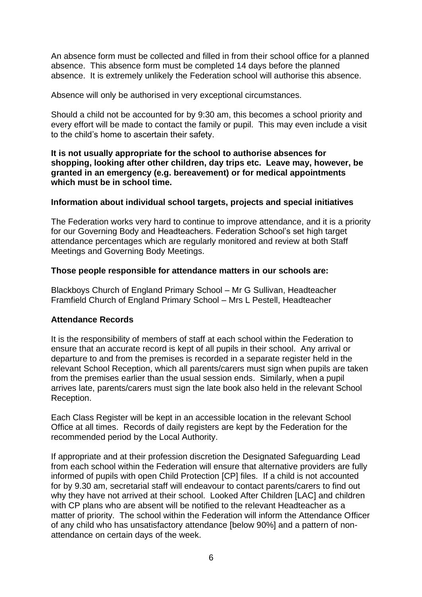An absence form must be collected and filled in from their school office for a planned absence. This absence form must be completed 14 days before the planned absence. It is extremely unlikely the Federation school will authorise this absence.

Absence will only be authorised in very exceptional circumstances.

Should a child not be accounted for by 9:30 am, this becomes a school priority and every effort will be made to contact the family or pupil. This may even include a visit to the child's home to ascertain their safety.

**It is not usually appropriate for the school to authorise absences for shopping, looking after other children, day trips etc. Leave may, however, be granted in an emergency (e.g. bereavement) or for medical appointments which must be in school time.**

#### **Information about individual school targets, projects and special initiatives**

The Federation works very hard to continue to improve attendance, and it is a priority for our Governing Body and Headteachers. Federation School's set high target attendance percentages which are regularly monitored and review at both Staff Meetings and Governing Body Meetings.

#### **Those people responsible for attendance matters in our schools are:**

Blackboys Church of England Primary School – Mr G Sullivan, Headteacher Framfield Church of England Primary School – Mrs L Pestell, Headteacher

#### **Attendance Records**

It is the responsibility of members of staff at each school within the Federation to ensure that an accurate record is kept of all pupils in their school. Any arrival or departure to and from the premises is recorded in a separate register held in the relevant School Reception, which all parents/carers must sign when pupils are taken from the premises earlier than the usual session ends. Similarly, when a pupil arrives late, parents/carers must sign the late book also held in the relevant School Reception.

Each Class Register will be kept in an accessible location in the relevant School Office at all times. Records of daily registers are kept by the Federation for the recommended period by the Local Authority.

If appropriate and at their profession discretion the Designated Safeguarding Lead from each school within the Federation will ensure that alternative providers are fully informed of pupils with open Child Protection [CP] files. If a child is not accounted for by 9.30 am, secretarial staff will endeavour to contact parents/carers to find out why they have not arrived at their school. Looked After Children [LAC] and children with CP plans who are absent will be notified to the relevant Headteacher as a matter of priority. The school within the Federation will inform the Attendance Officer of any child who has unsatisfactory attendance [below 90%] and a pattern of nonattendance on certain days of the week.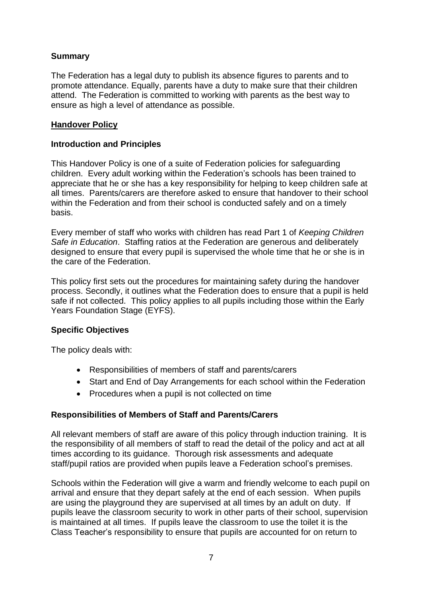#### **Summary**

The Federation has a legal duty to publish its absence figures to parents and to promote attendance. Equally, parents have a duty to make sure that their children attend. The Federation is committed to working with parents as the best way to ensure as high a level of attendance as possible.

#### **Handover Policy**

#### **Introduction and Principles**

This Handover Policy is one of a suite of Federation policies for safeguarding children. Every adult working within the Federation's schools has been trained to appreciate that he or she has a key responsibility for helping to keep children safe at all times. Parents/carers are therefore asked to ensure that handover to their school within the Federation and from their school is conducted safely and on a timely basis.

Every member of staff who works with children has read Part 1 of *Keeping Children Safe in Education*. Staffing ratios at the Federation are generous and deliberately designed to ensure that every pupil is supervised the whole time that he or she is in the care of the Federation.

This policy first sets out the procedures for maintaining safety during the handover process. Secondly, it outlines what the Federation does to ensure that a pupil is held safe if not collected. This policy applies to all pupils including those within the Early Years Foundation Stage (EYFS).

#### **Specific Objectives**

The policy deals with:

- Responsibilities of members of staff and parents/carers
- Start and End of Day Arrangements for each school within the Federation
- Procedures when a pupil is not collected on time

#### **Responsibilities of Members of Staff and Parents/Carers**

All relevant members of staff are aware of this policy through induction training. It is the responsibility of all members of staff to read the detail of the policy and act at all times according to its guidance. Thorough risk assessments and adequate staff/pupil ratios are provided when pupils leave a Federation school's premises.

Schools within the Federation will give a warm and friendly welcome to each pupil on arrival and ensure that they depart safely at the end of each session. When pupils are using the playground they are supervised at all times by an adult on duty. If pupils leave the classroom security to work in other parts of their school, supervision is maintained at all times. If pupils leave the classroom to use the toilet it is the Class Teacher's responsibility to ensure that pupils are accounted for on return to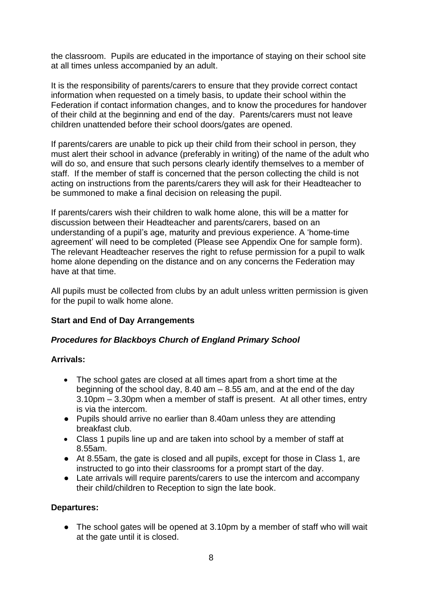the classroom. Pupils are educated in the importance of staying on their school site at all times unless accompanied by an adult.

It is the responsibility of parents/carers to ensure that they provide correct contact information when requested on a timely basis, to update their school within the Federation if contact information changes, and to know the procedures for handover of their child at the beginning and end of the day. Parents/carers must not leave children unattended before their school doors/gates are opened.

If parents/carers are unable to pick up their child from their school in person, they must alert their school in advance (preferably in writing) of the name of the adult who will do so, and ensure that such persons clearly identify themselves to a member of staff. If the member of staff is concerned that the person collecting the child is not acting on instructions from the parents/carers they will ask for their Headteacher to be summoned to make a final decision on releasing the pupil.

If parents/carers wish their children to walk home alone, this will be a matter for discussion between their Headteacher and parents/carers, based on an understanding of a pupil's age, maturity and previous experience. A 'home-time agreement' will need to be completed (Please see Appendix One for sample form). The relevant Headteacher reserves the right to refuse permission for a pupil to walk home alone depending on the distance and on any concerns the Federation may have at that time.

All pupils must be collected from clubs by an adult unless written permission is given for the pupil to walk home alone.

#### **Start and End of Day Arrangements**

#### *Procedures for Blackboys Church of England Primary School*

#### **Arrivals:**

- The school gates are closed at all times apart from a short time at the beginning of the school day,  $8.40$  am  $-8.55$  am, and at the end of the day 3.10pm – 3.30pm when a member of staff is present. At all other times, entry is via the intercom.
- Pupils should arrive no earlier than 8.40am unless they are attending breakfast club.
- Class 1 pupils line up and are taken into school by a member of staff at 8.55am.
- At 8.55am, the gate is closed and all pupils, except for those in Class 1, are instructed to go into their classrooms for a prompt start of the day.
- Late arrivals will require parents/carers to use the intercom and accompany their child/children to Reception to sign the late book.

#### **Departures:**

• The school gates will be opened at 3.10pm by a member of staff who will wait at the gate until it is closed.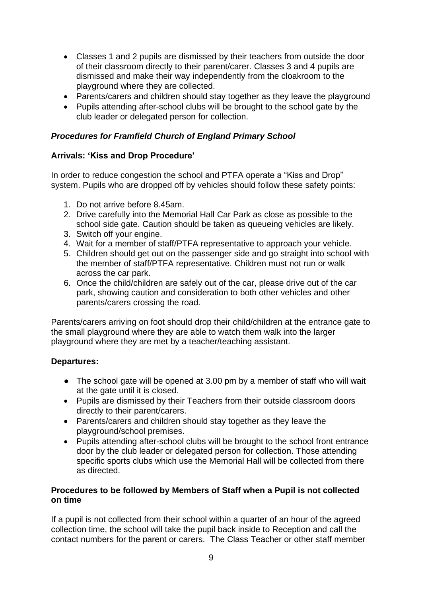- Classes 1 and 2 pupils are dismissed by their teachers from outside the door of their classroom directly to their parent/carer. Classes 3 and 4 pupils are dismissed and make their way independently from the cloakroom to the playground where they are collected.
- Parents/carers and children should stay together as they leave the playground
- Pupils attending after-school clubs will be brought to the school gate by the club leader or delegated person for collection.

#### *Procedures for Framfield Church of England Primary School*

#### **Arrivals: 'Kiss and Drop Procedure'**

In order to reduce congestion the school and PTFA operate a "Kiss and Drop" system. Pupils who are dropped off by vehicles should follow these safety points:

- 1. Do not arrive before 8.45am.
- 2. Drive carefully into the Memorial Hall Car Park as close as possible to the school side gate. Caution should be taken as queueing vehicles are likely.
- 3. Switch off your engine.
- 4. Wait for a member of staff/PTFA representative to approach your vehicle.
- 5. Children should get out on the passenger side and go straight into school with the member of staff/PTFA representative. Children must not run or walk across the car park.
- 6. Once the child/children are safely out of the car, please drive out of the car park, showing caution and consideration to both other vehicles and other parents/carers crossing the road.

Parents/carers arriving on foot should drop their child/children at the entrance gate to the small playground where they are able to watch them walk into the larger playground where they are met by a teacher/teaching assistant.

#### **Departures:**

- The school gate will be opened at 3.00 pm by a member of staff who will wait at the gate until it is closed.
- Pupils are dismissed by their Teachers from their outside classroom doors directly to their parent/carers.
- Parents/carers and children should stay together as they leave the playground/school premises.
- Pupils attending after-school clubs will be brought to the school front entrance door by the club leader or delegated person for collection. Those attending specific sports clubs which use the Memorial Hall will be collected from there as directed.

#### **Procedures to be followed by Members of Staff when a Pupil is not collected on time**

If a pupil is not collected from their school within a quarter of an hour of the agreed collection time, the school will take the pupil back inside to Reception and call the contact numbers for the parent or carers. The Class Teacher or other staff member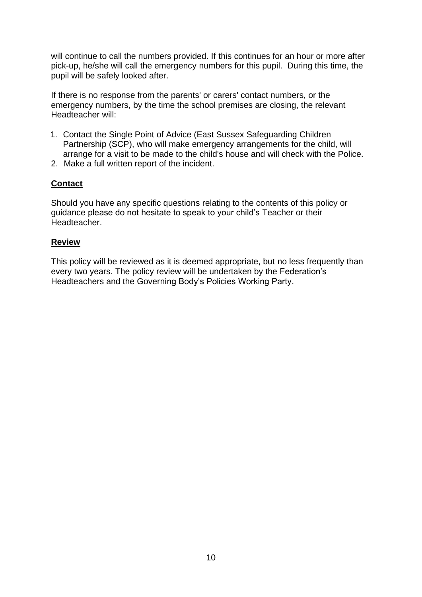will continue to call the numbers provided. If this continues for an hour or more after pick-up, he/she will call the emergency numbers for this pupil. During this time, the pupil will be safely looked after.

If there is no response from the parents' or carers' contact numbers, or the emergency numbers, by the time the school premises are closing, the relevant Headteacher will:

- 1. Contact the Single Point of Advice (East Sussex Safeguarding Children Partnership (SCP), who will make emergency arrangements for the child, will arrange for a visit to be made to the child's house and will check with the Police.
- 2. Make a full written report of the incident.

#### **Contact**

Should you have any specific questions relating to the contents of this policy or guidance please do not hesitate to speak to your child's Teacher or their Headteacher.

#### **Review**

This policy will be reviewed as it is deemed appropriate, but no less frequently than every two years. The policy review will be undertaken by the Federation's Headteachers and the Governing Body's Policies Working Party.